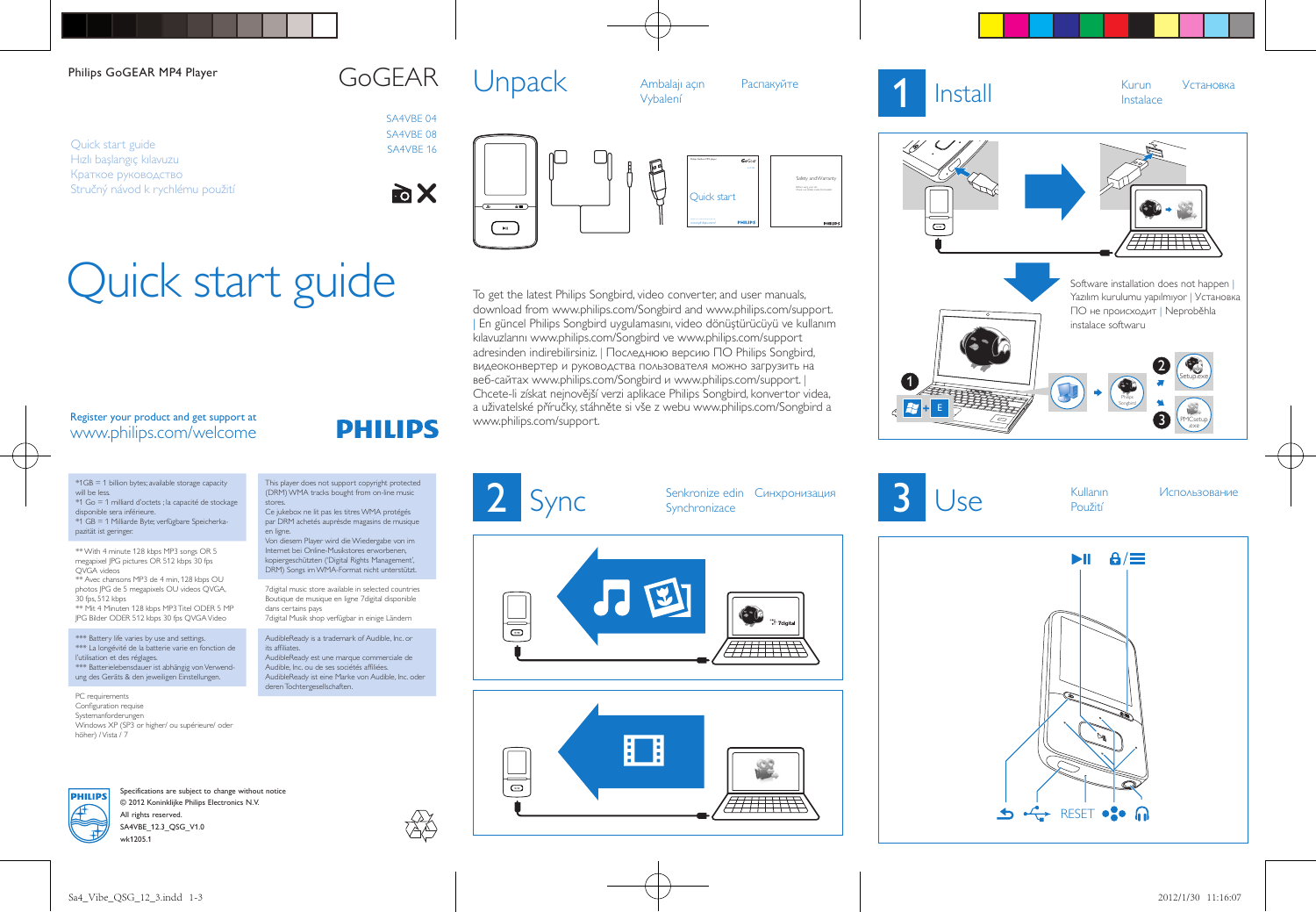## Philips GoGEAR MP4 Player GOGEAR

Quick start guide Hızlı başlangıç kılavuzu Краткое руководство Stručný návod k rychlému použití

# Quick start guide

## Register your product and get support at www.philips.com/welcome

\*1GB = 1 billion bytes; available storage capacity will be less. \*1 Go = 1 milliard d'octets ; la capacité de stockage

disponible sera inférieure. \*1 GB = 1 Milliarde Byte; verfügbare Speicherkapazität ist geringer.

\*\* With 4 minute 128 kbps MP3 songs OR 5 megapixel JPG pictures OR 512 kbps 30 fps QVGA videos

\*\* Avec chansons MP3 de 4 min, 128 kbps OU photos JPG de 5 megapixels OU videos QVGA, 30 fps, 512 kbps

\*\* Mit 4 Minuten 128 kbps MP3 Titel ODER 5 MP JPG Bilder ODER 512 kbps 30 fps QVGA Video

\*\*\* Battery life varies by use and settings. \*\*\* La longévité de la batterie varie en fonction de l'utilisation et des réglages. \*\*\* Batterielebensdauer ist abhängig von Verwendung des Geräts & den jeweiligen Einstellungen.

PC requirements Configuration requise Systemanforderungen Windows XP (SP3 or higher/ ou supérieure/ oder höher) / Vista / 7



Specifications are subject to change without notice © 2012 Koninklijke Philips Electronics N.V. All rights reserved. SA4VBE\_12.3\_QSG\_V1.0 wk1205.1

This player does not support copyright protected (DRM) WMA tracks bought from on-line music

**PHILIPS** 

Ce jukebox ne lit pas les titres WMA protégés par DRM achetés auprèsde magasins de musique

Von diesem Player wird die Wiedergabe von im Internet bei Online-Musikstores erworbenen, kopiergeschützten ('Digital Rights Management', DRM) Songs im WMA-Format nicht unterstützt. 7digital music store available in selected countries Boutique de musique en ligne 7digital disponible

7digital Musik shop verfügbar in einige Ländern AudibleReady is a trademark of Audible, Inc. or

AudibleReady est une marque commerciale de Audible, Inc. ou de ses sociétés affiliées. AudibleReady ist eine Marke von Audible, Inc. oder

stores

en ligne.

dans certains pays

deren Tochtergesellschaften.

its affiliates.

SA4VBE 04 SA4VBE 08 SA4VBE 16

**To X** 



Synchronize edin Синхронизация<br>
2 Synchronizace

www.philips.com/support.

 $\overline{a}$ 

To get the latest Philips Songbird, video converter, and user manuals, download from www.philips.com/Songbird and www.philips.com/support. | En güncel Philips Songbird uygulamasını, video dönüştürücüyü ve kullanım kılavuzlarını www.philips.com/Songbird ve www.philips.com/support adresinden indirebilirsiniz. | Последнюю версию ПО Philips Songbird, видеоконвертер и руководства пользователя можно загрузить на веб-сайтах www.philips.com/Songbird и www.philips.com/support. | Chcete-li získat nejnovější verzi aplikace Philips Songbird, konvertor videa, a uživatelské příručky, stáhněte si vše z webu www.philips.com/Songbird a

P

┡





Setup.exe Philips  $\mathbb{R}$  street by  $\mathbb{R}$ 2 Software installation does not happen I Yazılım kurulumu yapılmıyor | Установка ПО не происходит | Neproběhla instalace softwaru

Použití

**3** Use Kullanın *Использование* 

PMCsetup<br>
exe

3





Quick start

Safety and Warra Before using your set:



1

 $\frac{1}{6}$   $\frac{17}{17}$